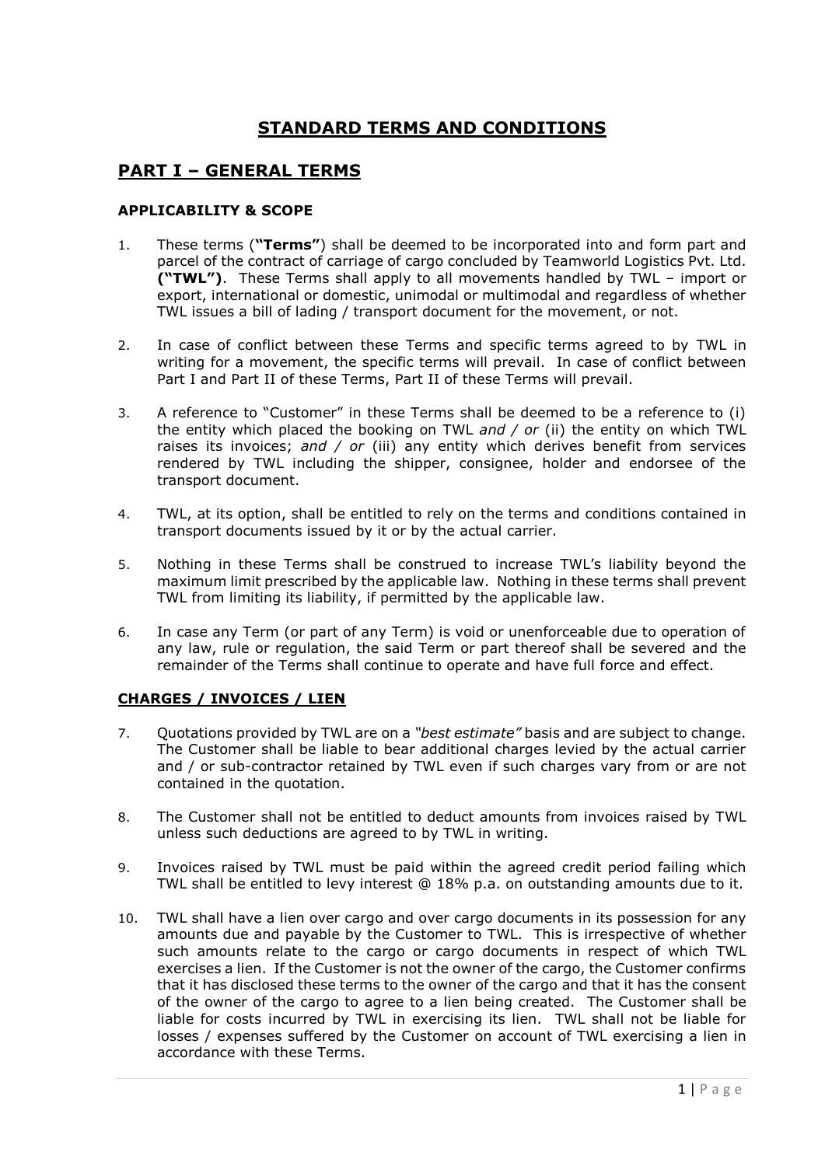# **STANDARD TERMS AND CONDITIONS**

## **PART I – GENERAL TERMS**

### **APPLICABILITY & SCOPE**

- 1. These terms (**"Terms"**) shall be deemed to be incorporated into and form part and parcel of the contract of carriage of cargo concluded by Teamworld Logistics Pvt. Ltd. **("TWL")**. These Terms shall apply to all movements handled by TWL – import or export, international or domestic, unimodal or multimodal and regardless of whether TWL issues a bill of lading / transport document for the movement, or not.
- 2. In case of conflict between these Terms and specific terms agreed to by TWL in writing for a movement, the specific terms will prevail. In case of conflict between Part I and Part II of these Terms, Part II of these Terms will prevail.
- 3. A reference to "Customer" in these Terms shall be deemed to be a reference to (i) the entity which placed the booking on TWL *and / or* (ii) the entity on which TWL raises its invoices; *and / or* (iii) any entity which derives benefit from services rendered by TWL including the shipper, consignee, holder and endorsee of the transport document.
- 4. TWL, at its option, shall be entitled to rely on the terms and conditions contained in transport documents issued by it or by the actual carrier.
- 5. Nothing in these Terms shall be construed to increase TWL's liability beyond the maximum limit prescribed by the applicable law. Nothing in these terms shall prevent TWL from limiting its liability, if permitted by the applicable law.
- 6. In case any Term (or part of any Term) is void or unenforceable due to operation of any law, rule or regulation, the said Term or part thereof shall be severed and the remainder of the Terms shall continue to operate and have full force and effect.

## **CHARGES / INVOICES / LIEN**

- 7. Quotations provided by TWL are on a *"best estimate"* basis and are subject to change. The Customer shall be liable to bear additional charges levied by the actual carrier and / or sub-contractor retained by TWL even if such charges vary from or are not contained in the quotation.
- 8. The Customer shall not be entitled to deduct amounts from invoices raised by TWL unless such deductions are agreed to by TWL in writing.
- 9. Invoices raised by TWL must be paid within the agreed credit period failing which TWL shall be entitled to levy interest @ 18% p.a. on outstanding amounts due to it.
- 10. TWL shall have a lien over cargo and over cargo documents in its possession for any amounts due and payable by the Customer to TWL. This is irrespective of whether such amounts relate to the cargo or cargo documents in respect of which TWL exercises a lien. If the Customer is not the owner of the cargo, the Customer confirms that it has disclosed these terms to the owner of the cargo and that it has the consent of the owner of the cargo to agree to a lien being created. The Customer shall be liable for costs incurred by TWL in exercising its lien. TWL shall not be liable for losses / expenses suffered by the Customer on account of TWL exercising a lien in accordance with these Terms.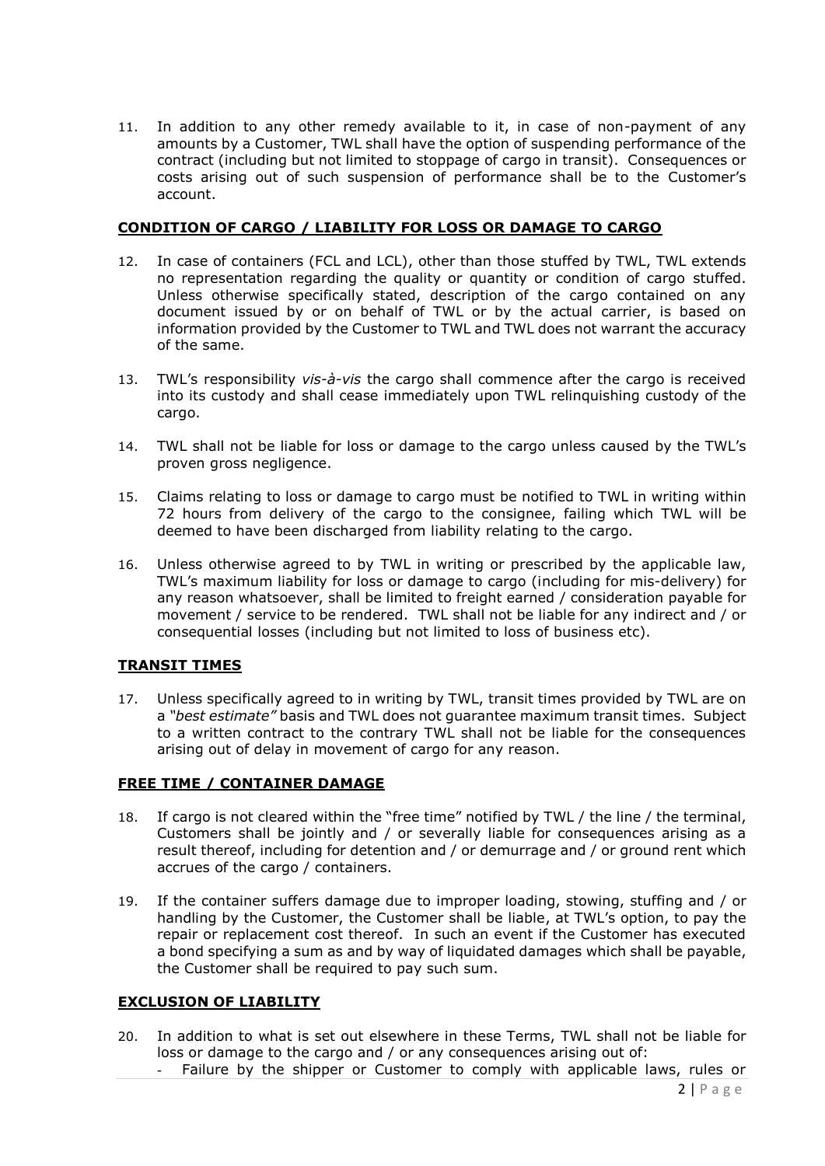11. In addition to any other remedy available to it, in case of non-payment of any amounts by a Customer, TWL shall have the option of suspending performance of the contract (including but not limited to stoppage of cargo in transit). Consequences or costs arising out of such suspension of performance shall be to the Customer's account.

### **CONDITION OF CARGO / LIABILITY FOR LOSS OR DAMAGE TO CARGO**

- 12. In case of containers (FCL and LCL), other than those stuffed by TWL, TWL extends no representation regarding the quality or quantity or condition of cargo stuffed. Unless otherwise specifically stated, description of the cargo contained on any document issued by or on behalf of TWL or by the actual carrier, is based on information provided by the Customer to TWL and TWL does not warrant the accuracy of the same.
- 13. TWL's responsibility *vis-à-vis* the cargo shall commence after the cargo is received into its custody and shall cease immediately upon TWL relinquishing custody of the cargo.
- 14. TWL shall not be liable for loss or damage to the cargo unless caused by the TWL's proven gross negligence.
- 15. Claims relating to loss or damage to cargo must be notified to TWL in writing within 72 hours from delivery of the cargo to the consignee, failing which TWL will be deemed to have been discharged from liability relating to the cargo.
- 16. Unless otherwise agreed to by TWL in writing or prescribed by the applicable law, TWL's maximum liability for loss or damage to cargo (including for mis-delivery) for any reason whatsoever, shall be limited to freight earned / consideration payable for movement / service to be rendered. TWL shall not be liable for any indirect and / or consequential losses (including but not limited to loss of business etc).

## **TRANSIT TIMES**

17. Unless specifically agreed to in writing by TWL, transit times provided by TWL are on a *"best estimate"* basis and TWL does not guarantee maximum transit times. Subject to a written contract to the contrary TWL shall not be liable for the consequences arising out of delay in movement of cargo for any reason.

## **FREE TIME / CONTAINER DAMAGE**

- 18. If cargo is not cleared within the "free time" notified by TWL / the line / the terminal, Customers shall be jointly and / or severally liable for consequences arising as a result thereof, including for detention and / or demurrage and / or ground rent which accrues of the cargo / containers.
- 19. If the container suffers damage due to improper loading, stowing, stuffing and / or handling by the Customer, the Customer shall be liable, at TWL's option, to pay the repair or replacement cost thereof. In such an event if the Customer has executed a bond specifying a sum as and by way of liquidated damages which shall be payable, the Customer shall be required to pay such sum.

#### **EXCLUSION OF LIABILITY**

- 20. In addition to what is set out elsewhere in these Terms, TWL shall not be liable for loss or damage to the cargo and / or any consequences arising out of:
	- Failure by the shipper or Customer to comply with applicable laws, rules or